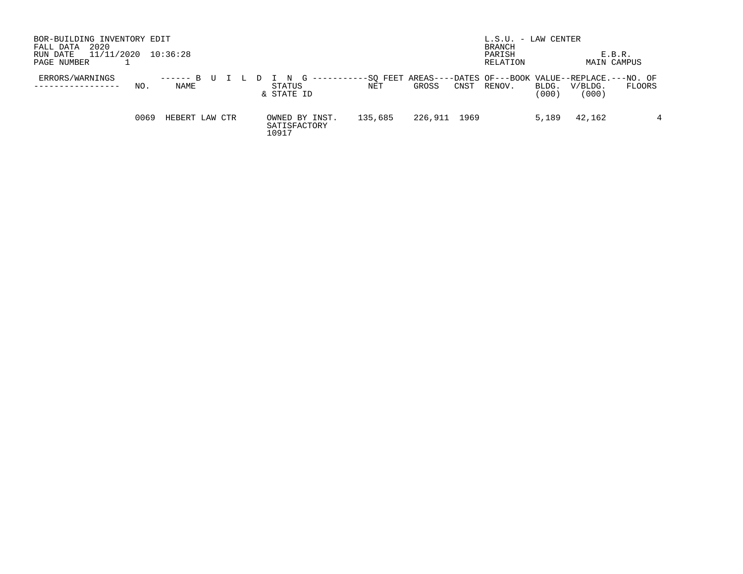| BOR-BUILDING INVENTORY EDIT<br>2020<br>FALL DATA<br>11/11/2020<br>RUN DATE<br>PAGE NUMBER | 10:36:28              |                                         |         |                                                                                       | $L.S.U. - LAW CENTER$<br>BRANCH<br>PARISH<br>RELATION |                                    | E.B.R.<br><b>MAIN CAMPUS</b> |
|-------------------------------------------------------------------------------------------|-----------------------|-----------------------------------------|---------|---------------------------------------------------------------------------------------|-------------------------------------------------------|------------------------------------|------------------------------|
| ERRORS/WARNINGS<br>NO.                                                                    | $--- - - B$ U<br>NAME | G<br>STATUS<br>& STATE ID               | NET     | -----------SO FEET AREAS----DATES OF---BOOK VALUE--REPLACE.---NO. OF<br>GROSS<br>CNST | RENOV.                                                | V/BLDG.<br>BLDG.<br>(000)<br>(000) | FLOORS                       |
| 0069                                                                                      | HEBERT LAW CTR        | OWNED BY INST.<br>SATISFACTORY<br>10917 | 135,685 | 226,911<br>1969                                                                       |                                                       | 5,189<br>42,162                    | 4                            |